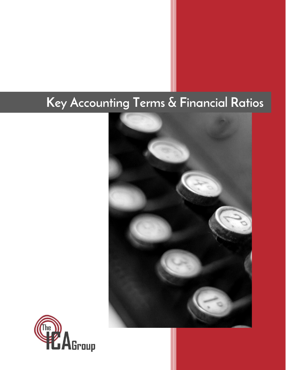# **Key Accounting Terms & Financial Ratios**



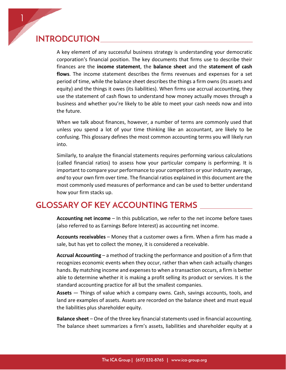## **INTRODCUTION**

1

A key element of any successful business strategy is understanding your democratic corporation's financial position. The key documents that firms use to describe their finances are the **income statement**, the **balance sheet** and the **statement of cash flows**. The income statement describes the firms revenues and expenses for a set period of time, while the balance sheet describes the things a firm owns (its assets and equity) and the things it owes (its liabilities). When firms use accrual accounting, they use the statement of cash flows to understand how money actually moves through a business and whether you're likely to be able to meet your cash needs now and into the future.

When we talk about finances, however, a number of terms are commonly used that unless you spend a lot of your time thinking like an accountant, are likely to be confusing. This glossary defines the most common accounting terms you will likely run into.

Similarly, to analyze the financial statements requires performing various calculations (called financial ratios) to assess how your particular company is performing. It is important to compare your performance to your competitors or your industry average, *and* to your own firm over time. The financial ratios explained in this document are the most commonly used measures of performance and can be used to better understand how your firm stacks up.

# **GLOSSARY OF KEY ACCOUNTING TERMS**

**Accounting net income** – In this publication, we refer to the net income before taxes (also referred to as Earnings Before Interest) as accounting net income.

**Accounts receivables** – Money that a customer owes a firm. When a firm has made a sale, but has yet to collect the money, it is considered a receivable.

**Accrual Accounting** – a method of tracking the performance and position of a firm that recognizes economic events when they occur, rather than when cash actually changes hands. By matching income and expenses to when a transaction occurs, a firm is better able to determine whether it is making a profit selling its product or services. It is the standard accounting practice for all but the smallest companies.

**Assets** — Things of value which a company owns. Cash, savings accounts, tools, and land are examples of assets. Assets are recorded on the balance sheet and must equal the liabilities plus shareholder equity.

**Balance sheet** – One of the three key financial statements used in financial accounting. The balance sheet summarizes a firm's assets, liabilities and shareholder equity at a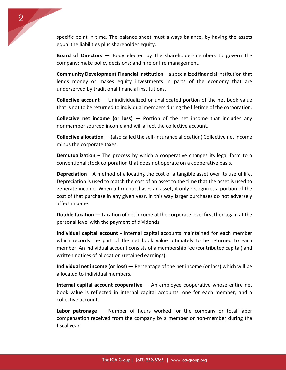specific point in time. The balance sheet must always balance, by having the assets equal the liabilities plus shareholder equity.

2

**Board of Directors** — Body elected by the shareholder-members to govern the company; make policy decisions; and hire or fire management.

**Community Development Financial Institution** – a specialized financial institution that lends money or makes equity investments in parts of the economy that are underserved by traditional financial institutions.

**Collective account** — Unindividualized or unallocated portion of the net book value that is not to be returned to individual members during the lifetime of the corporation.

**Collective net income (or loss)** — Portion of the net income that includes any nonmember sourced income and will affect the collective account.

**Collective allocation** — (also called the self-insurance allocation) Collective net income minus the corporate taxes.

**Demutualization** – The process by which a cooperative changes its legal form to a conventional stock corporation that does not operate on a cooperative basis.

**Depreciation** – A method of allocating the cost of a tangible asset over its useful life. Depreciation is used to match the cost of an asset to the time that the asset is used to generate income. When a firm purchases an asset, it only recognizes a portion of the cost of that purchase in any given year, in this way larger purchases do not adversely affect income.

**Double taxation** — Taxation of net income at the corporate level first then again at the personal level with the payment of dividends.

**Individual capital account** - Internal capital accounts maintained for each member which records the part of the net book value ultimately to be returned to each member. An individual account consists of a membership fee (contributed capital) and written notices of allocation (retained earnings).

**Individual net income (or loss)** — Percentage of the net income (or loss) which will be allocated to individual members.

**Internal capital account cooperative** — An employee cooperative whose entire net book value is reflected in internal capital accounts, one for each member, and a collective account.

**Labor patronage** — Number of hours worked for the company or total labor compensation received from the company by a member or non-member during the fiscal year.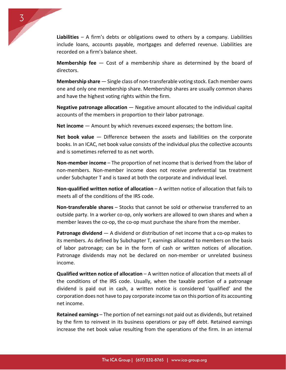

3

**Membership fee** — Cost of a membership share as determined by the board of directors.

**Membership share** — Single class of non-transferable voting stock. Each member owns one and only one membership share. Membership shares are usually common shares and have the highest voting rights within the firm.

**Negative patronage allocation** — Negative amount allocated to the individual capital accounts of the members in proportion to their labor patronage.

**Net income** — Amount by which revenues exceed expenses; the bottom line.

**Net book value** — Difference between the assets and liabilities on the corporate books. In an ICAC, net book value consists of the individual plus the collective accounts and is sometimes referred to as net worth.

**Non-member income** – The proportion of net income that is derived from the labor of non-members. Non-member income does not receive preferential tax treatment under Subchapter T and is taxed at both the corporate and individual level.

**Non-qualified written notice of allocation** – A written notice of allocation that fails to meets all of the conditions of the IRS code.

**Non-transferable shares** – Stocks that cannot be sold or otherwise transferred to an outside party. In a worker co-op, only workers are allowed to own shares and when a member leaves the co-op, the co-op must purchase the share from the member.

**Patronage dividend** — A dividend or distribution of net income that a co-op makes to its members. As defined by Subchapter T, earnings allocated to members on the basis of labor patronage; can be in the form of cash or written notices of allocation. Patronage dividends may not be declared on non-member or unrelated business income.

**Qualified written notice of allocation** – A written notice of allocation that meets all of the conditions of the IRS code. Usually, when the taxable portion of a patronage dividend is paid out in cash, a written notice is considered 'qualified' and the corporation does not have to pay corporate income tax on this portion of its accounting net income.

**Retained earnings** – The portion of net earnings not paid out as dividends, but retained by the firm to reinvest in its business operations or pay off debt. Retained earnings increase the net book value resulting from the operations of the firm. In an internal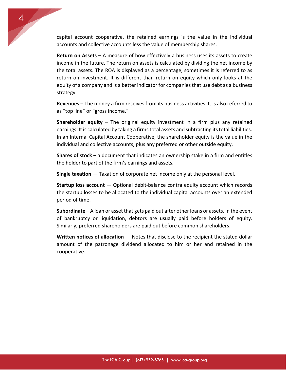capital account cooperative, the retained earnings is the value in the individual accounts and collective accounts less the value of membership shares.

4

**Return on Assets –** A measure of how effectively a business uses its assets to create income in the future. The return on assets is calculated by dividing the net income by the total assets. The ROA is displayed as a percentage, sometimes it is referred to as return on investment. It is different than return on equity which only looks at the equity of a company and is a better indicator for companies that use debt as a business strategy.

**Revenues** – The money a firm receives from its business activities. It is also referred to as "top line" or "gross income."

**Shareholder equity** – The original equity investment in a firm plus any retained earnings. It is calculated by taking a firms total assets and subtracting its total liabilities. In an Internal Capital Account Cooperative, the shareholder equity is the value in the individual and collective accounts, plus any preferred or other outside equity.

**Shares of stock** – a document that indicates an ownership stake in a firm and entitles the holder to part of the firm's earnings and assets.

**Single taxation** — Taxation of corporate net income only at the personal level.

**Startup loss account** — Optional debit-balance contra equity account which records the startup losses to be allocated to the individual capital accounts over an extended period of time.

**Subordinate** – A loan or asset that gets paid out after other loans or assets. In the event of bankruptcy or liquidation, debtors are usually paid before holders of equity. Similarly, preferred shareholders are paid out before common shareholders.

**Written notices of allocation** — Notes that disclose to the recipient the stated dollar amount of the patronage dividend allocated to him or her and retained in the cooperative.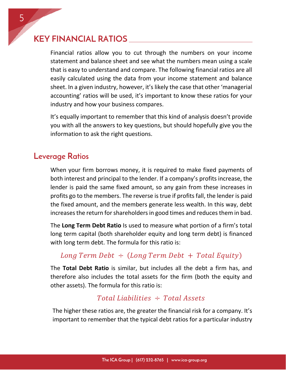# **KEY FINANCIAL RATIOS**

Financial ratios allow you to cut through the numbers on your income statement and balance sheet and see what the numbers mean using a scale that is easy to understand and compare. The following financial ratios are all easily calculated using the data from your income statement and balance sheet. In a given industry, however, it's likely the case that other 'managerial accounting' ratios will be used, it's important to know these ratios for your industry and how your business compares.

It's equally important to remember that this kind of analysis doesn't provide you with all the answers to key questions, but should hopefully give you the information to ask the right questions.

## **Leverage Ratios**

When your firm borrows money, it is required to make fixed payments of both interest and principal to the lender. If a company's profits increase, the lender is paid the same fixed amount, so any gain from these increases in profits go to the members. The reverse is true if profits fall, the lender is paid the fixed amount, and the members generate less wealth. In this way, debt increases the return for shareholders in good times and reduces them in bad.

The **Long Term Debt Ratio** Is used to measure what portion of a firm's total long term capital (both shareholder equity and long term debt) is financed with long term debt. The formula for this ratio is:

## Long Term Debt  $\div$  (Long Term Debt + Total Equity)

The **Total Debt Ratio** is similar, but includes all the debt a firm has, and therefore also includes the total assets for the firm (both the equity and other assets). The formula for this ratio is:

### Total Liabilities  $\div$  Total Assets

The higher these ratios are, the greater the financial risk for a company. It's important to remember that the typical debt ratios for a particular industry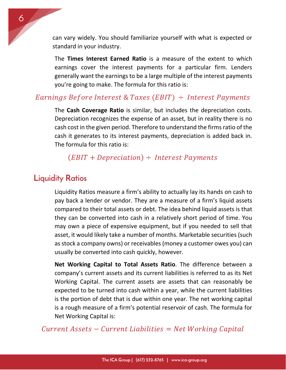can vary widely. You should familiarize yourself with what is expected or standard in your industry.

The **Times Interest Earned Ratio** is a measure of the extent to which earnings cover the interest payments for a particular firm. Lenders generally want the earnings to be a large multiple of the interest payments you're going to make. The formula for this ratio is:

#### Earnings Before Interest & Taxes (EBIT)  $\div$  Interest Payments

The **Cash Coverage Ratio** is similar, but includes the depreciation costs. Depreciation recognizes the expense of an asset, but in reality there is no cash cost in the given period. Therefore to understand the firms ratio of the cash it generates to its interest payments, depreciation is added back in. The formula for this ratio is:

### $(EBIT + Depreciation) \div Interest~Payments$

## **Liquidity Ratios**

6

Liquidity Ratios measure a firm's ability to actually lay its hands on cash to pay back a lender or vendor. They are a measure of a firm's liquid assets compared to their total assets or debt. The idea behind liquid assets is that they can be converted into cash in a relatively short period of time. You may own a piece of expensive equipment, but if you needed to sell that asset, it would likely take a number of months. Marketable securities (such as stock a company owns) or receivables(money a customer owes you) can usually be converted into cash quickly, however.

**Net Working Capital to Total Assets Ratio**. The difference between a company's current assets and its current liabilities is referred to as its Net Working Capital. The current assets are assets that can reasonably be expected to be turned into cash within a year, while the current liabilities is the portion of debt that is due within one year. The net working capital is a rough measure of a firm's potential reservoir of cash. The formula for Net Working Capital is:

 $Current\ Assets - Current\ Liabilities = Net\ Working\ Capital$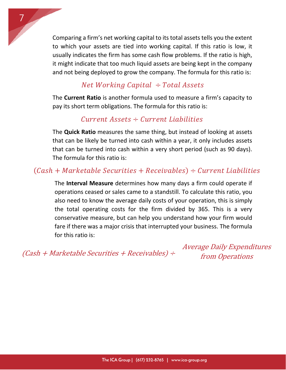Comparing a firm's net working capital to its total assets tells you the extent to which your assets are tied into working capital. If this ratio is low, it usually indicates the firm has some cash flow problems. If the ratio is high, it might indicate that too much liquid assets are being kept in the company and not being deployed to grow the company. The formula for this ratio is:

## Net Working Capital  $\div$  Total Assets

7

The **Current Ratio** is another formula used to measure a firm's capacity to pay its short term obligations. The formula for this ratio is:

## $Current\ Assets \div Current\ Liabilities$

The **Quick Ratio** measures the same thing, but instead of looking at assets that can be likely be turned into cash within a year, it only includes assets that can be turned into cash within a very short period (such as 90 days). The formula for this ratio is:

## $(Cash + Marketable Securities + Receivables) \div Current Liabilities$

The **Interval Measure** determines how many days a firm could operate if operations ceased or sales came to a standstill. To calculate this ratio, you also need to know the average daily costs of your operation, this is simply the total operating costs for the firm divided by 365. This is a very conservative measure, but can help you understand how your firm would fare if there was a major crisis that interrupted your business. The formula for this ratio is:

 $f(Cash + Marketable Securities + Receiver) \div from Operations$ 

Average Daily Expenditures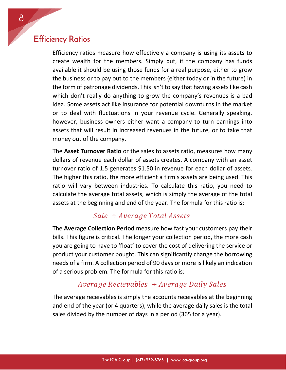## **Efficiency Ratios**

Efficiency ratios measure how effectively a company is using its assets to create wealth for the members. Simply put, if the company has funds available it should be using those funds for a real purpose, either to grow the business or to pay out to the members (either today or in the future) in the form of patronage dividends. This isn't to say that having assets like cash which don't really do anything to grow the company's revenues is a bad idea. Some assets act like insurance for potential downturns in the market or to deal with fluctuations in your revenue cycle. Generally speaking, however, business owners either want a company to turn earnings into assets that will result in increased revenues in the future, or to take that money out of the company.

The **Asset Turnover Ratio** or the sales to assets ratio, measures how many dollars of revenue each dollar of assets creates. A company with an asset turnover ratio of 1.5 generates \$1.50 in revenue for each dollar of assets. The higher this ratio, the more efficient a firm's assets are being used. This ratio will vary between industries. To calculate this ratio, you need to calculate the average total assets, which is simply the average of the total assets at the beginning and end of the year. The formula for this ratio is:

#### $Sale \div Average \cdot Total \, Assets$

The **Average Collection Period** measure how fast your customers pay their bills. This figure is critical. The longer your collection period, the more cash you are going to have to 'float' to cover the cost of delivering the service or product your customer bought. This can significantly change the borrowing needs of a firm. A collection period of 90 days or more is likely an indication of a serious problem. The formula for this ratio is:

#### Average Recievables  $\div$  Average Daily Sales

The average receivables is simply the accounts receivables at the beginning and end of the year (or 4 quarters), while the average daily sales is the total sales divided by the number of days in a period (365 for a year).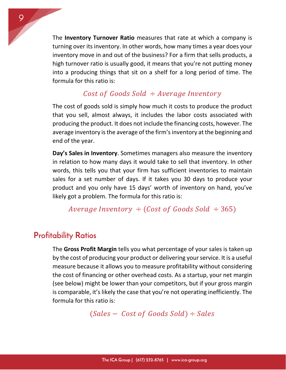The **Inventory Turnover Ratio** measures that rate at which a company is turning over its inventory. In other words, how many times a year does your inventory move in and out of the business? For a firm that sells products, a high turnover ratio is usually good, it means that you're not putting money into a producing things that sit on a shelf for a long period of time. The formula for this ratio is:

#### Cost of Goods Sold  $\div$  Average Inventory

The cost of goods sold is simply how much it costs to produce the product that you sell, almost always, it includes the labor costs associated with producing the product. It does not include the financing costs, however. The average inventory is the average of the firm's inventory at the beginning and end of the year.

**Day's Sales in Inventory**. Sometimes managers also measure the inventory in relation to how many days it would take to sell that inventory. In other words, this tells you that your firm has sufficient inventories to maintain sales for a set number of days. If it takes you 30 days to produce your product and you only have 15 days' worth of inventory on hand, you've likely got a problem. The formula for this ratio is:

Average Inventory  $\div$  (Cost of Goods Sold  $\div$  365)

## **Profitability Ratios**

The **Gross Profit Margin** tells you what percentage of your sales is taken up by the cost of producing your product or delivering your service. It is a useful measure because it allows you to measure profitability without considering the cost of financing or other overhead costs. As a startup, your net margin (see below) might be lower than your competitors, but if your gross margin is comparable, it's likely the case that you're not operating inefficiently. The formula for this ratio is:

 $(Sales - Cost of Goods Sold) \div Sales$ 

9